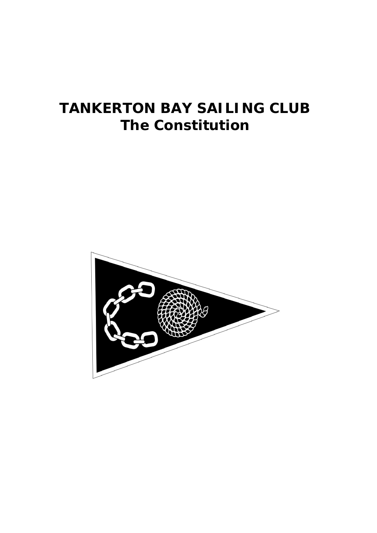# **TANKERTON BAY SAILING CLUB The Constitution**

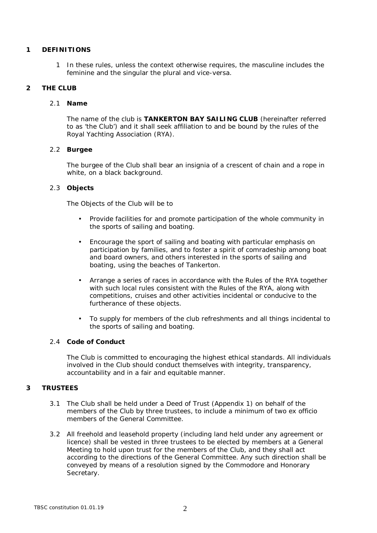## **1 DEFINITIONS**

1 In these rules, unless the context otherwise requires, the masculine includes the feminine and the singular the plural and vice-versa.

# **2 THE CLUB**

## 2.1 **Name**

The name of the club is **TANKERTON BAY SAILING CLUB** (hereinafter referred to as 'the Club') and it shall seek affiliation to and be bound by the rules of the Royal Yachting Association (RYA).

## 2.2 **Burgee**

The burgee of the Club shall bear an insignia of a crescent of chain and a rope in white, on a black background.

# 2.3 **Objects**

The Objects of the Club will be to

- Provide facilities for and promote participation of the whole community in the sports of sailing and boating.
- Encourage the sport of sailing and boating with particular emphasis on participation by families, and to foster a spirit of comradeship among boat and board owners, and others interested in the sports of sailing and boating, using the beaches of Tankerton.
- Arrange a series of races in accordance with the Rules of the RYA together  $\mathcal{L}^{\mathcal{L}}$ with such local rules consistent with the Rules of the RYA, along with competitions, cruises and other activities incidental or conducive to the furtherance of these objects.
- To supply for members of the club refreshments and all things incidental to the sports of sailing and boating.

## 2.4 **Code of Conduct**

The Club is committed to encouraging the highest ethical standards. All individuals involved in the Club should conduct themselves with integrity, transparency, accountability and in a fair and equitable manner.

# **3 TRUSTEES**

- 3.1 The Club shall be held under a Deed of Trust (Appendix 1) on behalf of the members of the Club by three trustees, to include a minimum of two ex officio members of the General Committee.
- 3.2 All freehold and leasehold property (including land held under any agreement or licence) shall be vested in three trustees to be elected by members at a General Meeting to hold upon trust for the members of the Club, and they shall act according to the directions of the General Committee. Any such direction shall be conveyed by means of a resolution signed by the Commodore and Honorary Secretary.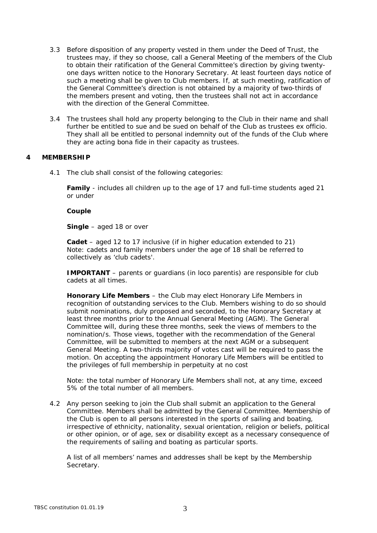- 3.3 Before disposition of any property vested in them under the Deed of Trust, the trustees may, if they so choose, call a General Meeting of the members of the Club to obtain their ratification of the General Committee's direction by giving twentyone days written notice to the Honorary Secretary. At least fourteen days notice of such a meeting shall be given to Club members. If, at such meeting, ratification of the General Committee's direction is not obtained by a majority of two-thirds of the members present and voting, then the trustees shall not act in accordance with the direction of the General Committee.
- 3.4 The trustees shall hold any property belonging to the Club in their name and shall further be entitled to sue and be sued on behalf of the Club as trustees ex officio. They shall all be entitled to personal indemnity out of the funds of the Club where they are acting bona fide in their capacity as trustees.

#### **4 MEMBERSHIP**

4.1 The club shall consist of the following categories:

**Family** - includes all children up to the age of 17 and full-time students aged 21 or under

**Couple**

**Single** – aged 18 or over

**Cadet** – aged 12 to 17 inclusive (if in higher education extended to 21) Note: cadets and family members under the age of 18 shall be referred to collectively as 'club cadets'.

**IMPORTANT** – parents or guardians (in loco parentis) are responsible for club cadets at all times.

**Honorary Life Members** – the Club may elect Honorary Life Members in recognition of outstanding services to the Club. Members wishing to do so should submit nominations, duly proposed and seconded, to the Honorary Secretary at least three months prior to the Annual General Meeting (AGM). The General Committee will, during these three months, seek the views of members to the nomination/s. Those views, together with the recommendation of the General Committee, will be submitted to members at the next AGM or a subsequent General Meeting. A two-thirds majority of votes cast will be required to pass the motion. On accepting the appointment Honorary Life Members will be entitled to the privileges of full membership in perpetuity at no cost

Note: the total number of Honorary Life Members shall not, at any time, exceed 5% of the total number of all members.

4.2 Any person seeking to join the Club shall submit an application to the General Committee. Members shall be admitted by the General Committee. Membership of the Club is open to all persons interested in the sports of sailing and boating, irrespective of ethnicity, nationality, sexual orientation, religion or beliefs, political or other opinion, or of age, sex or disability except as a necessary consequence of the requirements of sailing and boating as particular sports.

A list of all members' names and addresses shall be kept by the Membership Secretary.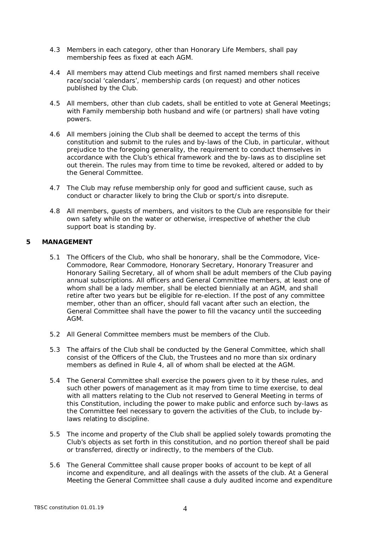- 4.3 Members in each category, other than Honorary Life Members, shall pay membership fees as fixed at each AGM.
- 4.4 All members may attend Club meetings and first named members shall receive race/social 'calendars', membership cards (on request) and other notices published by the Club.
- 4.5 All members, other than club cadets, shall be entitled to vote at General Meetings; with Family membership both husband and wife (or partners) shall have voting powers.
- 4.6 All members joining the Club shall be deemed to accept the terms of this constitution and submit to the rules and by-laws of the Club, in particular, without prejudice to the foregoing generality, the requirement to conduct themselves in accordance with the Club's ethical framework and the by-laws as to discipline set out therein. The rules may from time to time be revoked, altered or added to by the General Committee.
- 4.7 The Club may refuse membership only for good and sufficient cause, such as conduct or character likely to bring the Club or sport/s into disrepute.
- 4.8 All members, guests of members, and visitors to the Club are responsible for their own safety while on the water or otherwise, irrespective of whether the club support boat is standing by.
- **5 MANAGEMENT**
	- 5.1 The Officers of the Club, who shall be honorary, shall be the Commodore, Vice-Commodore, Rear Commodore, Honorary Secretary, Honorary Treasurer and Honorary Sailing Secretary, all of whom shall be adult members of the Club paying annual subscriptions. All officers and General Committee members, at least one of whom shall be a lady member, shall be elected biennially at an AGM, and shall retire after two years but be eligible for re-election. If the post of any committee member, other than an officer, should fall vacant after such an election, the General Committee shall have the power to fill the vacancy until the succeeding AGM.
	- 5.2 All General Committee members must be members of the Club.
	- 5.3 The affairs of the Club shall be conducted by the General Committee, which shall consist of the Officers of the Club, the Trustees and no more than six ordinary members as defined in Rule 4, all of whom shall be elected at the AGM.
	- 5.4 The General Committee shall exercise the powers given to it by these rules, and such other powers of management as it may from time to time exercise, to deal with all matters relating to the Club not reserved to General Meeting in terms of this Constitution, including the power to make public and enforce such by-laws as the Committee feel necessary to govern the activities of the Club, to include bylaws relating to discipline.
	- 5.5 The income and property of the Club shall be applied solely towards promoting the Club's objects as set forth in this constitution, and no portion thereof shall be paid or transferred, directly or indirectly, to the members of the Club.
	- 5.6 The General Committee shall cause proper books of account to be kept of all income and expenditure, and all dealings with the assets of the club. At a General Meeting the General Committee shall cause a duly audited income and expenditure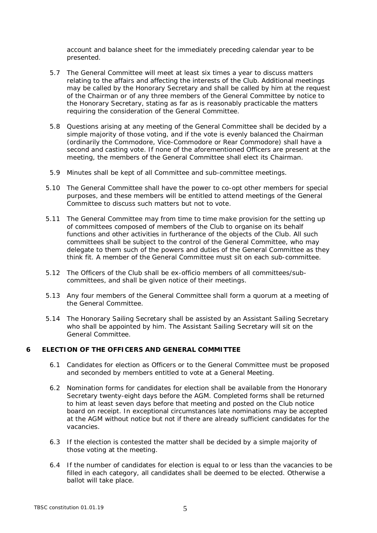account and balance sheet for the immediately preceding calendar year to be presented.

- 5.7 The General Committee will meet at least six times a year to discuss matters relating to the affairs and affecting the interests of the Club. Additional meetings may be called by the Honorary Secretary and shall be called by him at the request of the Chairman or of any three members of the General Committee by notice to the Honorary Secretary, stating as far as is reasonably practicable the matters requiring the consideration of the General Committee.
- 5.8 Questions arising at any meeting of the General Committee shall be decided by a simple majority of those voting, and if the vote is evenly balanced the Chairman (ordinarily the Commodore, Vice-Commodore or Rear Commodore) shall have a second and casting vote. If none of the aforementioned Officers are present at the meeting, the members of the General Committee shall elect its Chairman.
- 5.9 Minutes shall be kept of all Committee and sub-committee meetings.
- 5.10 The General Committee shall have the power to co-opt other members for special purposes, and these members will be entitled to attend meetings of the General Committee to discuss such matters but not to vote.
- 5.11 The General Committee may from time to time make provision for the setting up of committees composed of members of the Club to organise on its behalf functions and other activities in furtherance of the objects of the Club. All such committees shall be subject to the control of the General Committee, who may delegate to them such of the powers and duties of the General Committee as they think fit. A member of the General Committee must sit on each sub-committee.
- 5.12 The Officers of the Club shall be ex-officio members of all committees/subcommittees, and shall be given notice of their meetings.
- 5.13 Any four members of the General Committee shall form a quorum at a meeting of the General Committee.
- 5.14 The Honorary Sailing Secretary shall be assisted by an Assistant Sailing Secretary who shall be appointed by him. The Assistant Sailing Secretary will sit on the General Committee.
- **6 ELECTION OF THE OFFICERS AND GENERAL COMMITTEE**
	- 6.1 Candidates for election as Officers or to the General Committee must be proposed and seconded by members entitled to vote at a General Meeting.
	- 6.2 Nomination forms for candidates for election shall be available from the Honorary Secretary twenty-eight days before the AGM. Completed forms shall be returned to him at least seven days before that meeting and posted on the Club notice board on receipt. In exceptional circumstances late nominations may be accepted at the AGM without notice but not if there are already sufficient candidates for the vacancies.
	- 6.3 If the election is contested the matter shall be decided by a simple majority of those voting at the meeting.
	- 6.4 If the number of candidates for election is equal to or less than the vacancies to be filled in each category, all candidates shall be deemed to be elected. Otherwise a ballot will take place.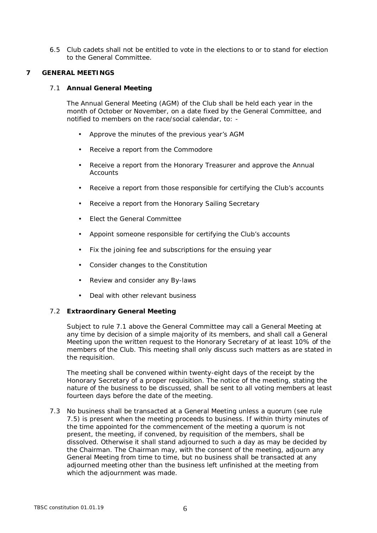- 6.5 Club cadets shall not be entitled to vote in the elections to or to stand for election to the General Committee.
- **7 GENERAL MEETINGS**
	- 7.1 **Annual General Meeting**

The Annual General Meeting (AGM) of the Club shall be held each year in the month of October or November, on a date fixed by the General Committee, and notified to members on the race/social calendar, to: -

- Approve the minutes of the previous year's AGM
- Receive a report from the Commodore
- Receive a report from the Honorary Treasurer and approve the Annual **Accounts**
- $\mathcal{L}^{\text{max}}$ Receive a report from those responsible for certifying the Club's accounts
- Receive a report from the Honorary Sailing Secretary  $\mathcal{L}^{\mathcal{L}}$
- Elect the General Committee
- Appoint someone responsible for certifying the Club's accounts
- Fix the joining fee and subscriptions for the ensuing year  $\mathbf{r}$
- $\mathcal{L}^{\text{max}}$ Consider changes to the Constitution
- $\mathcal{L}^{\text{max}}$ Review and consider any By-laws
- Deal with other relevant business  $\mathbf{r}$
- 7.2 **Extraordinary General Meeting**

Subject to rule 7.1 above the General Committee may call a General Meeting at any time by decision of a simple majority of its members, and shall call a General Meeting upon the written request to the Honorary Secretary of at least 10% of the members of the Club. This meeting shall only discuss such matters as are stated in the requisition.

The meeting shall be convened within twenty-eight days of the receipt by the Honorary Secretary of a proper requisition. The notice of the meeting, stating the nature of the business to be discussed, shall be sent to all voting members at least fourteen days before the date of the meeting.

7.3 No business shall be transacted at a General Meeting unless a quorum (see rule 7.5) is present when the meeting proceeds to business. If within thirty minutes of the time appointed for the commencement of the meeting a quorum is not present, the meeting, if convened, by requisition of the members, shall be dissolved. Otherwise it shall stand adjourned to such a day as may be decided by the Chairman. The Chairman may, with the consent of the meeting, adjourn any General Meeting from time to time, but no business shall be transacted at any adjourned meeting other than the business left unfinished at the meeting from which the adjournment was made.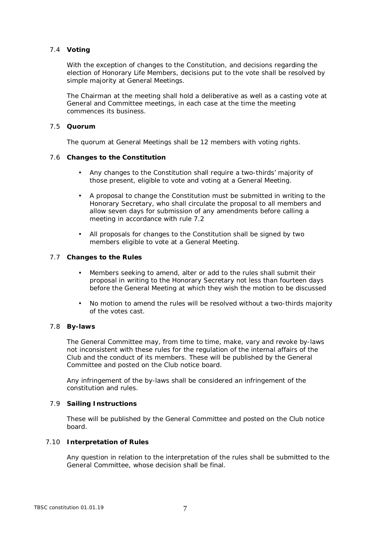## 7.4 **Voting**

With the exception of changes to the Constitution, and decisions regarding the election of Honorary Life Members, decisions put to the vote shall be resolved by simple majority at General Meetings.

The Chairman at the meeting shall hold a deliberative as well as a casting vote at General and Committee meetings, in each case at the time the meeting commences its business.

## 7.5 **Quorum**

The quorum at General Meetings shall be 12 members with voting rights.

- 7.6 **Changes to the Constitution**
	- Any changes to the Constitution shall require a two-thirds' majority of those present, eligible to vote and voting at a General Meeting.
	- A proposal to change the Constitution must be submitted in writing to the Honorary Secretary, who shall circulate the proposal to all members and allow seven days for submission of any amendments before calling a meeting in accordance with rule 7.2
	- All proposals for changes to the Constitution shall be signed by two members eligible to vote at a General Meeting.
- 7.7 **Changes to the Rules**
	- Members seeking to amend, alter or add to the rules shall submit their proposal in writing to the Honorary Secretary not less than fourteen days before the General Meeting at which they wish the motion to be discussed
	- No motion to amend the rules will be resolved without a two-thirds majority  $\mathbf{r}$ of the votes cast.

## 7.8 **By-laws**

The General Committee may, from time to time, make, vary and revoke by-laws not inconsistent with these rules for the regulation of the internal affairs of the Club and the conduct of its members. These will be published by the General Committee and posted on the Club notice board.

Any infringement of the by-laws shall be considered an infringement of the constitution and rules.

#### 7.9 **Sailing Instructions**

These will be published by the General Committee and posted on the Club notice board.

## 7.10 **Interpretation of Rules**

Any question in relation to the interpretation of the rules shall be submitted to the General Committee, whose decision shall be final.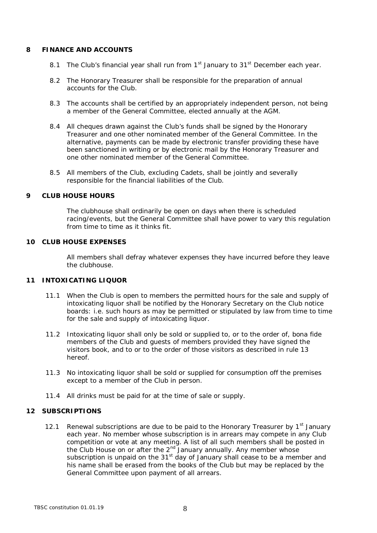#### **8 FINANCE AND ACCOUNTS**

- 8.1 The Club's financial year shall run from  $1<sup>st</sup>$  January to  $31<sup>st</sup>$  December each year.
- 8.2 The Honorary Treasurer shall be responsible for the preparation of annual accounts for the Club.
- 8.3 The accounts shall be certified by an appropriately independent person, not being a member of the General Committee, elected annually at the AGM.
- 8.4 All cheques drawn against the Club's funds shall be signed by the Honorary Treasurer and one other nominated member of the General Committee. In the alternative, payments can be made by electronic transfer providing these have been sanctioned in writing or by electronic mail by the Honorary Treasurer and one other nominated member of the General Committee.
- 8.5 All members of the Club, excluding Cadets, shall be jointly and severally responsible for the financial liabilities of the Club.

#### **9 CLUB HOUSE HOURS**

The clubhouse shall ordinarily be open on days when there is scheduled racing/events, but the General Committee shall have power to vary this regulation from time to time as it thinks fit.

#### **10 CLUB HOUSE EXPENSES**

All members shall defray whatever expenses they have incurred before they leave the clubhouse.

# **11 INTOXICATING LIQUOR**

- 11.1 When the Club is open to members the permitted hours for the sale and supply of intoxicating liquor shall be notified by the Honorary Secretary on the Club notice boards: i.e. such hours as may be permitted or stipulated by law from time to time for the sale and supply of intoxicating liquor.
- 11.2 Intoxicating liquor shall only be sold or supplied to, or to the order of, bona fide members of the Club and guests of members provided they have signed the visitors book, and to or to the order of those visitors as described in rule 13 hereof.
- 11.3 No intoxicating liquor shall be sold or supplied for consumption off the premises except to a member of the Club in person.
- 11.4 All drinks must be paid for at the time of sale or supply.

## **12 SUBSCRIPTIONS**

12.1 Renewal subscriptions are due to be paid to the Honorary Treasurer by  $1<sup>st</sup>$  January each year. No member whose subscription is in arrears may compete in any Club competition or vote at any meeting. A list of all such members shall be posted in the Club House on or after the 2<sup>nd</sup> January annually. Any member whose subscription is unpaid on the  $31<sup>st</sup>$  day of January shall cease to be a member and his name shall be erased from the books of the Club but may be replaced by the General Committee upon payment of all arrears.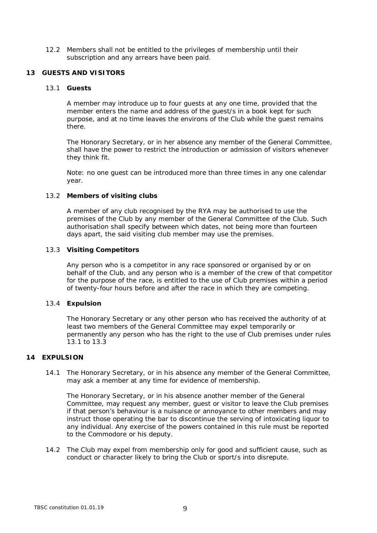- 12.2 Members shall not be entitled to the privileges of membership until their subscription and any arrears have been paid.
- **13 GUESTS AND VISITORS**
	- 13.1 **Guests**

A member may introduce up to four guests at any one time, provided that the member enters the name and address of the guest/s in a book kept for such purpose, and at no time leaves the environs of the Club while the guest remains there.

The Honorary Secretary, or in her absence any member of the General Committee, shall have the power to restrict the introduction or admission of visitors whenever they think fit.

Note: no one guest can be introduced more than three times in any one calendar year.

13.2 **Members of visiting clubs**

A member of any club recognised by the RYA may be authorised to use the premises of the Club by any member of the General Committee of the Club. Such authorisation shall specify between which dates, not being more than fourteen days apart, the said visiting club member may use the premises.

13.3 **Visiting Competitors**

Any person who is a competitor in any race sponsored or organised by or on behalf of the Club, and any person who is a member of the crew of that competitor for the purpose of the race, is entitled to the use of Club premises within a period of twenty-four hours before and after the race in which they are competing.

13.4 **Expulsion**

The Honorary Secretary or any other person who has received the authority of at least two members of the General Committee may expel temporarily or permanently any person who has the right to the use of Club premises under rules 13.1 to 13.3

## **14 EXPULSION**

14.1 The Honorary Secretary, or in his absence any member of the General Committee, may ask a member at any time for evidence of membership.

The Honorary Secretary, or in his absence another member of the General Committee, may request any member, guest or visitor to leave the Club premises if that person's behaviour is a nuisance or annoyance to other members and may instruct those operating the bar to discontinue the serving of intoxicating liquor to any individual. Any exercise of the powers contained in this rule must be reported to the Commodore or his deputy.

14.2 The Club may expel from membership only for good and sufficient cause, such as conduct or character likely to bring the Club or sport/s into disrepute.